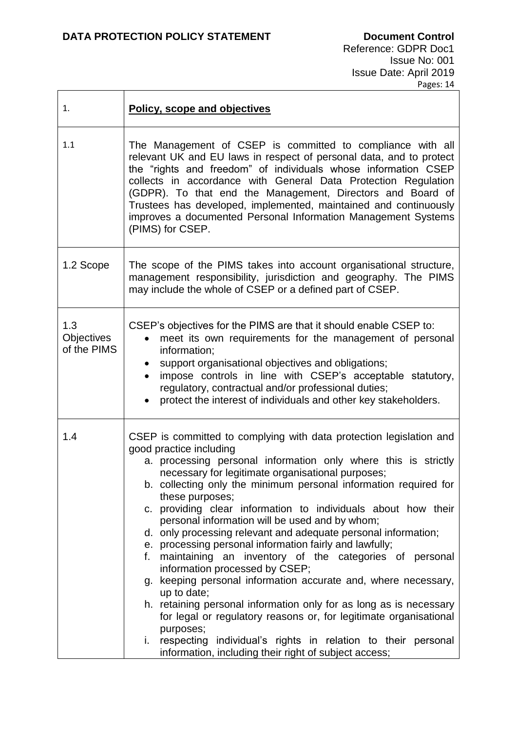| 1.                               | Policy, scope and objectives                                                                                                                                                                                                                                                                                                                                                                                                                                                                                                                                                                                                                                                                                                                                                                                                                                                                                                                                                                                                     |  |
|----------------------------------|----------------------------------------------------------------------------------------------------------------------------------------------------------------------------------------------------------------------------------------------------------------------------------------------------------------------------------------------------------------------------------------------------------------------------------------------------------------------------------------------------------------------------------------------------------------------------------------------------------------------------------------------------------------------------------------------------------------------------------------------------------------------------------------------------------------------------------------------------------------------------------------------------------------------------------------------------------------------------------------------------------------------------------|--|
| 1.1                              | The Management of CSEP is committed to compliance with all<br>relevant UK and EU laws in respect of personal data, and to protect<br>the "rights and freedom" of individuals whose information CSEP<br>collects in accordance with General Data Protection Regulation<br>(GDPR). To that end the Management, Directors and Board of<br>Trustees has developed, implemented, maintained and continuously<br>improves a documented Personal Information Management Systems<br>(PIMS) for CSEP.                                                                                                                                                                                                                                                                                                                                                                                                                                                                                                                                     |  |
| 1.2 Scope                        | The scope of the PIMS takes into account organisational structure,<br>management responsibility, jurisdiction and geography. The PIMS<br>may include the whole of CSEP or a defined part of CSEP.                                                                                                                                                                                                                                                                                                                                                                                                                                                                                                                                                                                                                                                                                                                                                                                                                                |  |
| 1.3<br>Objectives<br>of the PIMS | CSEP's objectives for the PIMS are that it should enable CSEP to:<br>meet its own requirements for the management of personal<br>information;<br>support organisational objectives and obligations;<br>impose controls in line with CSEP's acceptable statutory,<br>$\bullet$<br>regulatory, contractual and/or professional duties;<br>protect the interest of individuals and other key stakeholders.                                                                                                                                                                                                                                                                                                                                                                                                                                                                                                                                                                                                                          |  |
| 1.4                              | CSEP is committed to complying with data protection legislation and<br>good practice including<br>a. processing personal information only where this is strictly<br>necessary for legitimate organisational purposes;<br>b. collecting only the minimum personal information required for<br>these purposes;<br>c. providing clear information to individuals about how their<br>personal information will be used and by whom;<br>d. only processing relevant and adequate personal information;<br>e. processing personal information fairly and lawfully;<br>f. maintaining an inventory of the categories of personal<br>information processed by CSEP;<br>g. keeping personal information accurate and, where necessary,<br>up to date;<br>h. retaining personal information only for as long as is necessary<br>for legal or regulatory reasons or, for legitimate organisational<br>purposes;<br>i. respecting individual's rights in relation to their personal<br>information, including their right of subject access; |  |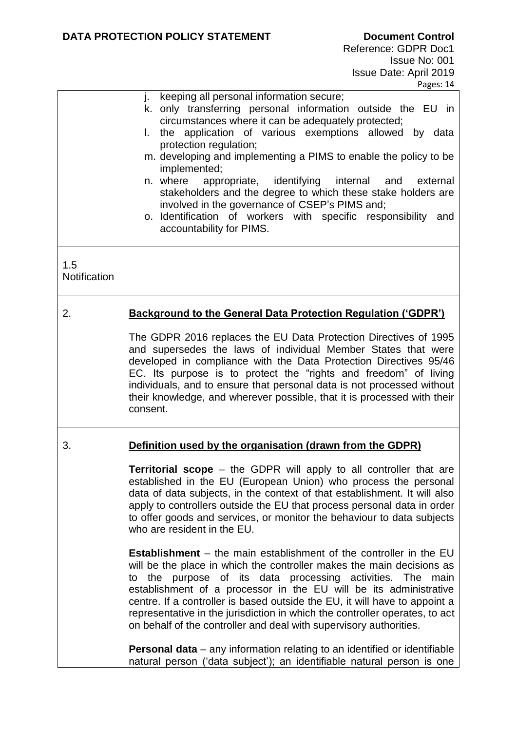|                     | j. keeping all personal information secure;<br>k. only transferring personal information outside the EU in<br>circumstances where it can be adequately protected;<br>I. the application of various exemptions allowed by data<br>protection regulation;<br>m. developing and implementing a PIMS to enable the policy to be<br>implemented;<br>n. where<br>appropriate, identifying internal<br>and<br>external<br>stakeholders and the degree to which these stake holders are<br>involved in the governance of CSEP's PIMS and;<br>o. Identification of workers with specific responsibility and<br>accountability for PIMS.   |  |
|---------------------|----------------------------------------------------------------------------------------------------------------------------------------------------------------------------------------------------------------------------------------------------------------------------------------------------------------------------------------------------------------------------------------------------------------------------------------------------------------------------------------------------------------------------------------------------------------------------------------------------------------------------------|--|
| 1.5<br>Notification |                                                                                                                                                                                                                                                                                                                                                                                                                                                                                                                                                                                                                                  |  |
| 2.                  | <b>Background to the General Data Protection Regulation ('GDPR')</b>                                                                                                                                                                                                                                                                                                                                                                                                                                                                                                                                                             |  |
|                     | The GDPR 2016 replaces the EU Data Protection Directives of 1995<br>and supersedes the laws of individual Member States that were<br>developed in compliance with the Data Protection Directives 95/46<br>EC. Its purpose is to protect the "rights and freedom" of living<br>individuals, and to ensure that personal data is not processed without<br>their knowledge, and wherever possible, that it is processed with their<br>consent.                                                                                                                                                                                      |  |
| 3.                  | Definition used by the organisation (drawn from the GDPR)<br><b>Territorial scope</b> – the GDPR will apply to all controller that are<br>established in the EU (European Union) who process the personal<br>data of data subjects, in the context of that establishment. It will also<br>apply to controllers outside the EU that process personal data in order<br>to offer goods and services, or monitor the behaviour to data subjects<br>who are resident in the EU.<br><b>Establishment</b> – the main establishment of the controller in the EU<br>will be the place in which the controller makes the main decisions as |  |
|                     | the purpose of its data processing activities. The<br>main<br>to<br>establishment of a processor in the EU will be its administrative<br>centre. If a controller is based outside the EU, it will have to appoint a<br>representative in the jurisdiction in which the controller operates, to act<br>on behalf of the controller and deal with supervisory authorities.<br><b>Personal data</b> – any information relating to an identified or identifiable                                                                                                                                                                     |  |
|                     | natural person ('data subject'); an identifiable natural person is one                                                                                                                                                                                                                                                                                                                                                                                                                                                                                                                                                           |  |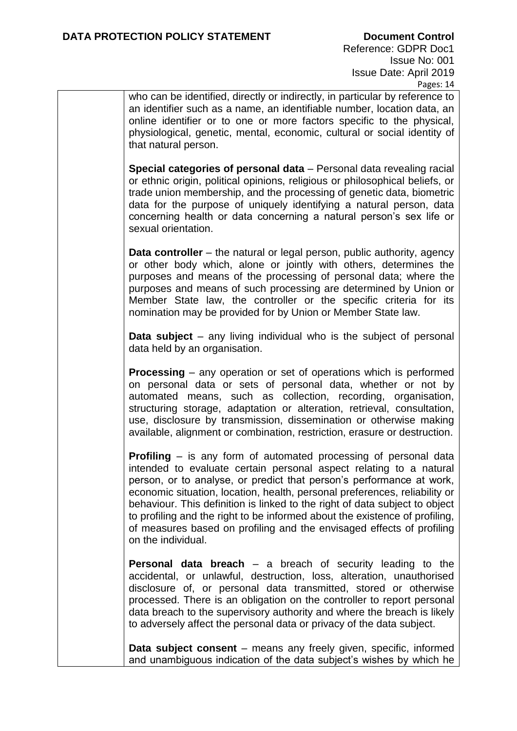who can be identified, directly or indirectly, in particular by reference to an identifier such as a name, an identifiable number, location data, an online identifier or to one or more factors specific to the physical, physiological, genetic, mental, economic, cultural or social identity of that natural person.

**Special categories of personal data** – Personal data revealing racial or ethnic origin, political opinions, religious or philosophical beliefs, or trade union membership, and the processing of genetic data, biometric data for the purpose of uniquely identifying a natural person, data concerning health or data concerning a natural person's sex life or sexual orientation.

**Data controller** – the natural or legal person, public authority, agency or other body which, alone or jointly with others, determines the purposes and means of the processing of personal data; where the purposes and means of such processing are determined by Union or Member State law, the controller or the specific criteria for its nomination may be provided for by Union or Member State law.

**Data subject** – any living individual who is the subject of personal data held by an organisation.

**Processing** – any operation or set of operations which is performed on personal data or sets of personal data, whether or not by automated means, such as collection, recording, organisation, structuring storage, adaptation or alteration, retrieval, consultation, use, disclosure by transmission, dissemination or otherwise making available, alignment or combination, restriction, erasure or destruction.

**Profiling** – is any form of automated processing of personal data intended to evaluate certain personal aspect relating to a natural person, or to analyse, or predict that person's performance at work, economic situation, location, health, personal preferences, reliability or behaviour. This definition is linked to the right of data subject to object to profiling and the right to be informed about the existence of profiling, of measures based on profiling and the envisaged effects of profiling on the individual.

**Personal data breach** – a breach of security leading to the accidental, or unlawful, destruction, loss, alteration, unauthorised disclosure of, or personal data transmitted, stored or otherwise processed. There is an obligation on the controller to report personal data breach to the supervisory authority and where the breach is likely to adversely affect the personal data or privacy of the data subject.

**Data subject consent** – means any freely given, specific, informed and unambiguous indication of the data subject's wishes by which he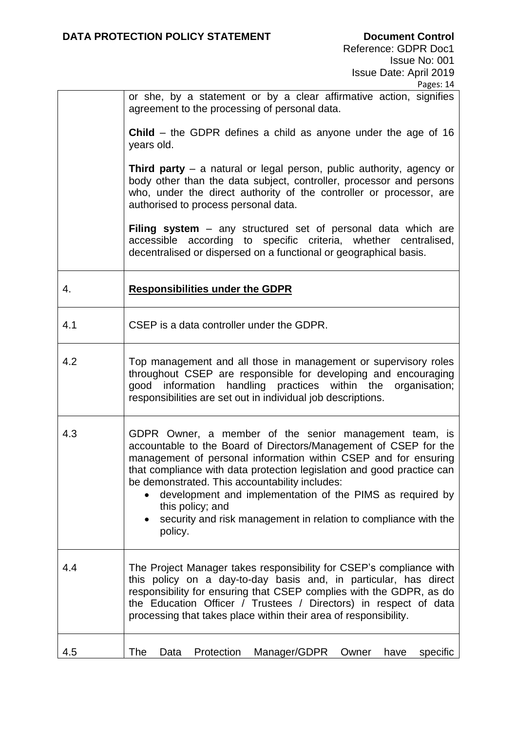|     | Pages: 14                                                                                                                                                                                                                                                                                                                                                                                                                                                                                     |  |
|-----|-----------------------------------------------------------------------------------------------------------------------------------------------------------------------------------------------------------------------------------------------------------------------------------------------------------------------------------------------------------------------------------------------------------------------------------------------------------------------------------------------|--|
|     | or she, by a statement or by a clear affirmative action, signifies<br>agreement to the processing of personal data.                                                                                                                                                                                                                                                                                                                                                                           |  |
|     | <b>Child</b> – the GDPR defines a child as anyone under the age of 16<br>years old.                                                                                                                                                                                                                                                                                                                                                                                                           |  |
|     | <b>Third party</b> $-$ a natural or legal person, public authority, agency or<br>body other than the data subject, controller, processor and persons<br>who, under the direct authority of the controller or processor, are<br>authorised to process personal data.                                                                                                                                                                                                                           |  |
|     | Filing system - any structured set of personal data which are<br>accessible according to specific criteria, whether centralised,<br>decentralised or dispersed on a functional or geographical basis.                                                                                                                                                                                                                                                                                         |  |
| 4.  | <b>Responsibilities under the GDPR</b>                                                                                                                                                                                                                                                                                                                                                                                                                                                        |  |
| 4.1 | CSEP is a data controller under the GDPR.                                                                                                                                                                                                                                                                                                                                                                                                                                                     |  |
| 4.2 | Top management and all those in management or supervisory roles<br>throughout CSEP are responsible for developing and encouraging<br>good information handling practices within the organisation;<br>responsibilities are set out in individual job descriptions.                                                                                                                                                                                                                             |  |
| 4.3 | GDPR Owner, a member of the senior management team, is<br>accountable to the Board of Directors/Management of CSEP for the<br>management of personal information within CSEP and for ensuring<br>that compliance with data protection legislation and good practice can<br>be demonstrated. This accountability includes:<br>development and implementation of the PIMS as required by<br>this policy; and<br>security and risk management in relation to compliance with the<br>٠<br>policy. |  |
| 4.4 | The Project Manager takes responsibility for CSEP's compliance with<br>this policy on a day-to-day basis and, in particular, has direct<br>responsibility for ensuring that CSEP complies with the GDPR, as do<br>the Education Officer / Trustees / Directors) in respect of data<br>processing that takes place within their area of responsibility.                                                                                                                                        |  |
| 4.5 | <b>The</b><br>Protection<br>Manager/GDPR<br>Data<br>Owner<br>have<br>specific                                                                                                                                                                                                                                                                                                                                                                                                                 |  |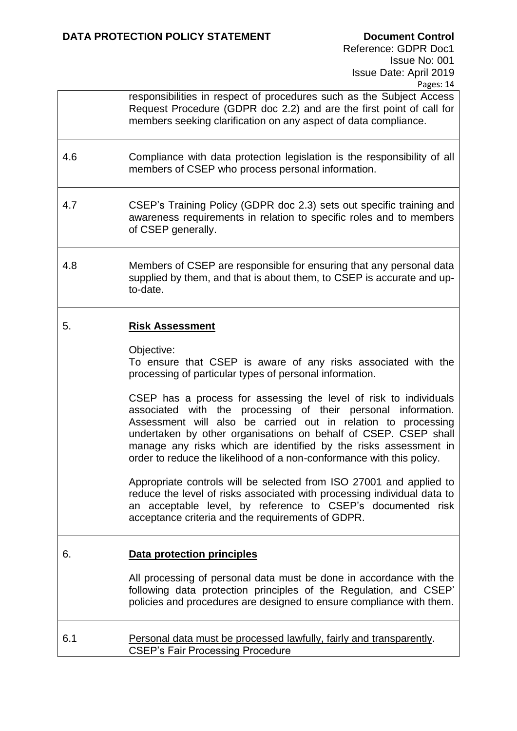|     | responsibilities in respect of procedures such as the Subject Access<br>Request Procedure (GDPR doc 2.2) and are the first point of call for<br>members seeking clarification on any aspect of data compliance.                                                                                                                                                                                                                                                                                                                                                                                                                                                                                                                                                                                                                                               |  |
|-----|---------------------------------------------------------------------------------------------------------------------------------------------------------------------------------------------------------------------------------------------------------------------------------------------------------------------------------------------------------------------------------------------------------------------------------------------------------------------------------------------------------------------------------------------------------------------------------------------------------------------------------------------------------------------------------------------------------------------------------------------------------------------------------------------------------------------------------------------------------------|--|
| 4.6 | Compliance with data protection legislation is the responsibility of all<br>members of CSEP who process personal information.                                                                                                                                                                                                                                                                                                                                                                                                                                                                                                                                                                                                                                                                                                                                 |  |
| 4.7 | CSEP's Training Policy (GDPR doc 2.3) sets out specific training and<br>awareness requirements in relation to specific roles and to members<br>of CSEP generally.                                                                                                                                                                                                                                                                                                                                                                                                                                                                                                                                                                                                                                                                                             |  |
| 4.8 | Members of CSEP are responsible for ensuring that any personal data<br>supplied by them, and that is about them, to CSEP is accurate and up-<br>to-date.                                                                                                                                                                                                                                                                                                                                                                                                                                                                                                                                                                                                                                                                                                      |  |
| 5.  | <b>Risk Assessment</b><br>Objective:<br>To ensure that CSEP is aware of any risks associated with the<br>processing of particular types of personal information.<br>CSEP has a process for assessing the level of risk to individuals<br>associated with the processing of their personal information.<br>Assessment will also be carried out in relation to processing<br>undertaken by other organisations on behalf of CSEP. CSEP shall<br>manage any risks which are identified by the risks assessment in<br>order to reduce the likelihood of a non-conformance with this policy.<br>Appropriate controls will be selected from ISO 27001 and applied to<br>reduce the level of risks associated with processing individual data to<br>an acceptable level, by reference to CSEP's documented risk<br>acceptance criteria and the requirements of GDPR. |  |
| 6.  | <b>Data protection principles</b><br>All processing of personal data must be done in accordance with the<br>following data protection principles of the Regulation, and CSEP'<br>policies and procedures are designed to ensure compliance with them.                                                                                                                                                                                                                                                                                                                                                                                                                                                                                                                                                                                                         |  |
| 6.1 | Personal data must be processed lawfully, fairly and transparently.<br><b>CSEP's Fair Processing Procedure</b>                                                                                                                                                                                                                                                                                                                                                                                                                                                                                                                                                                                                                                                                                                                                                |  |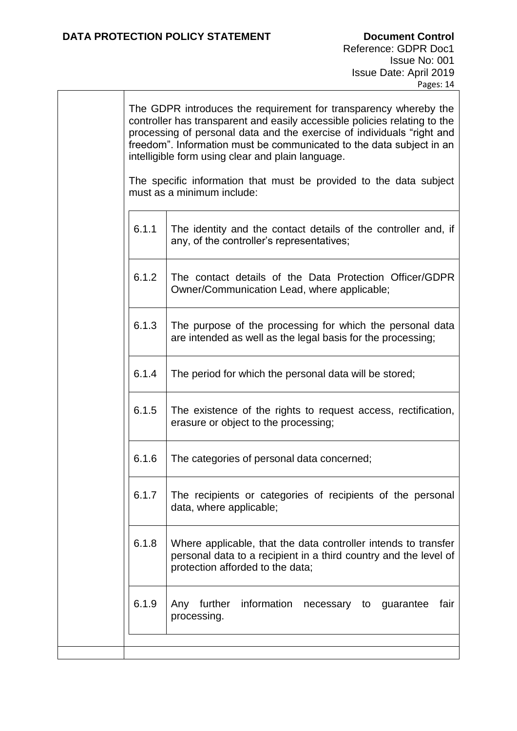| The GDPR introduces the requirement for transparency whereby the<br>controller has transparent and easily accessible policies relating to the<br>processing of personal data and the exercise of individuals "right and<br>freedom". Information must be communicated to the data subject in an<br>intelligible form using clear and plain language. |                                                                                                                                                                        |  |
|------------------------------------------------------------------------------------------------------------------------------------------------------------------------------------------------------------------------------------------------------------------------------------------------------------------------------------------------------|------------------------------------------------------------------------------------------------------------------------------------------------------------------------|--|
| The specific information that must be provided to the data subject<br>must as a minimum include:                                                                                                                                                                                                                                                     |                                                                                                                                                                        |  |
| 6.1.1                                                                                                                                                                                                                                                                                                                                                | The identity and the contact details of the controller and, if<br>any, of the controller's representatives;                                                            |  |
| 6.1.2                                                                                                                                                                                                                                                                                                                                                | The contact details of the Data Protection Officer/GDPR<br>Owner/Communication Lead, where applicable;                                                                 |  |
| 6.1.3                                                                                                                                                                                                                                                                                                                                                | The purpose of the processing for which the personal data<br>are intended as well as the legal basis for the processing;                                               |  |
| 6.1.4                                                                                                                                                                                                                                                                                                                                                | The period for which the personal data will be stored;                                                                                                                 |  |
| 6.1.5                                                                                                                                                                                                                                                                                                                                                | The existence of the rights to request access, rectification,<br>erasure or object to the processing;                                                                  |  |
| 6.1.6                                                                                                                                                                                                                                                                                                                                                | The categories of personal data concerned;                                                                                                                             |  |
| 6.1.f                                                                                                                                                                                                                                                                                                                                                | The recipients or categories of recipients of the personal<br>data, where applicable;                                                                                  |  |
| 6.1.8                                                                                                                                                                                                                                                                                                                                                | Where applicable, that the data controller intends to transfer<br>personal data to a recipient in a third country and the level of<br>protection afforded to the data; |  |
| 6.1.9                                                                                                                                                                                                                                                                                                                                                | Any further information<br>fair<br>necessary to guarantee<br>processing.                                                                                               |  |
|                                                                                                                                                                                                                                                                                                                                                      |                                                                                                                                                                        |  |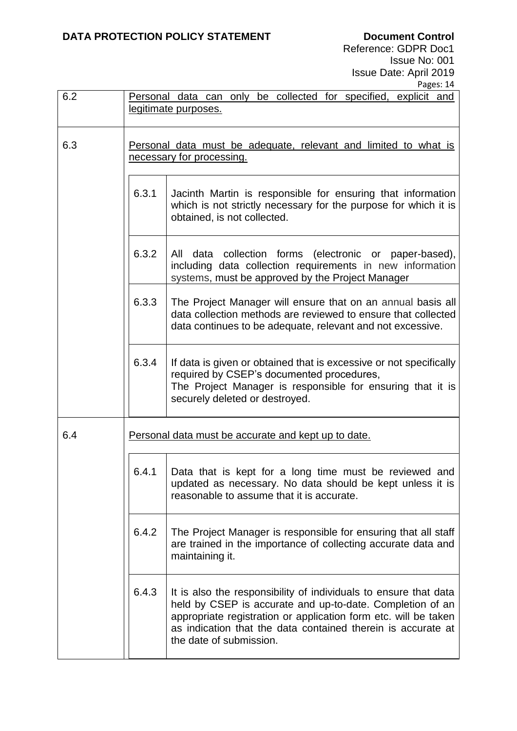Reference: GDPR Doc1 Issue No: 001 Issue Date: April 2019 .<br>Pages: 14

| 6.2 | Personal data can only be collected for specified, explicit and<br><u>legitimate purposes.</u> |                                                                                                                                                                                                                                                                                             |
|-----|------------------------------------------------------------------------------------------------|---------------------------------------------------------------------------------------------------------------------------------------------------------------------------------------------------------------------------------------------------------------------------------------------|
| 6.3 | Personal data must be adequate, relevant and limited to what is<br>necessary for processing.   |                                                                                                                                                                                                                                                                                             |
|     | 6.3.1                                                                                          | Jacinth Martin is responsible for ensuring that information<br>which is not strictly necessary for the purpose for which it is<br>obtained, is not collected.                                                                                                                               |
|     | 6.3.2                                                                                          | All data collection forms (electronic or paper-based),<br>including data collection requirements in new information<br>systems, must be approved by the Project Manager                                                                                                                     |
|     | 6.3.3                                                                                          | The Project Manager will ensure that on an annual basis all<br>data collection methods are reviewed to ensure that collected<br>data continues to be adequate, relevant and not excessive.                                                                                                  |
|     | 6.3.4                                                                                          | If data is given or obtained that is excessive or not specifically<br>required by CSEP's documented procedures,<br>The Project Manager is responsible for ensuring that it is<br>securely deleted or destroyed.                                                                             |
| 6.4 | Personal data must be accurate and kept up to date.                                            |                                                                                                                                                                                                                                                                                             |
|     | 6.4.1                                                                                          | Data that is kept for a long time must be reviewed and<br>updated as necessary. No data should be kept unless it is<br>reasonable to assume that it is accurate.                                                                                                                            |
|     | 6.4.2                                                                                          | The Project Manager is responsible for ensuring that all staff<br>are trained in the importance of collecting accurate data and<br>maintaining it.                                                                                                                                          |
|     | 6.4.3                                                                                          | It is also the responsibility of individuals to ensure that data<br>held by CSEP is accurate and up-to-date. Completion of an<br>appropriate registration or application form etc. will be taken<br>as indication that the data contained therein is accurate at<br>the date of submission. |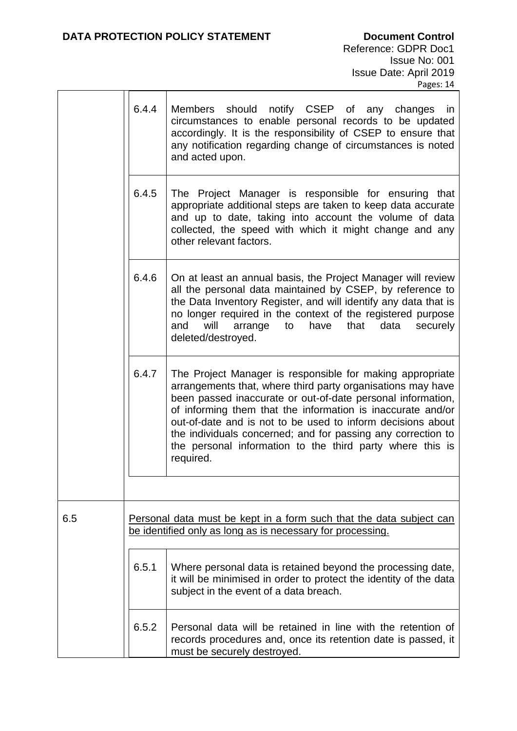|     |       | r ages. 14                                                                                                                                                                                                                                                                                                                                                                                                                                                      |
|-----|-------|-----------------------------------------------------------------------------------------------------------------------------------------------------------------------------------------------------------------------------------------------------------------------------------------------------------------------------------------------------------------------------------------------------------------------------------------------------------------|
|     | 6.4.4 | Members<br>should notify CSEP of any changes<br>in<br>circumstances to enable personal records to be updated<br>accordingly. It is the responsibility of CSEP to ensure that<br>any notification regarding change of circumstances is noted<br>and acted upon.                                                                                                                                                                                                  |
|     | 6.4.5 | The Project Manager is responsible for ensuring that<br>appropriate additional steps are taken to keep data accurate<br>and up to date, taking into account the volume of data<br>collected, the speed with which it might change and any<br>other relevant factors.                                                                                                                                                                                            |
|     | 6.4.6 | On at least an annual basis, the Project Manager will review<br>all the personal data maintained by CSEP, by reference to<br>the Data Inventory Register, and will identify any data that is<br>no longer required in the context of the registered purpose<br>will<br>arrange<br>have<br>that<br>data<br>securely<br>and<br>to<br>deleted/destroyed.                                                                                                           |
|     | 6.4.7 | The Project Manager is responsible for making appropriate<br>arrangements that, where third party organisations may have<br>been passed inaccurate or out-of-date personal information,<br>of informing them that the information is inaccurate and/or<br>out-of-date and is not to be used to inform decisions about<br>the individuals concerned; and for passing any correction to<br>the personal information to the third party where this is<br>required. |
|     |       |                                                                                                                                                                                                                                                                                                                                                                                                                                                                 |
| 6.5 |       | Personal data must be kept in a form such that the data subject can<br>be identified only as long as is necessary for processing.                                                                                                                                                                                                                                                                                                                               |
|     | 6.5.1 | Where personal data is retained beyond the processing date,<br>it will be minimised in order to protect the identity of the data<br>subject in the event of a data breach.                                                                                                                                                                                                                                                                                      |
|     | 6.5.2 | Personal data will be retained in line with the retention of<br>records procedures and, once its retention date is passed, it<br>must be securely destroyed.                                                                                                                                                                                                                                                                                                    |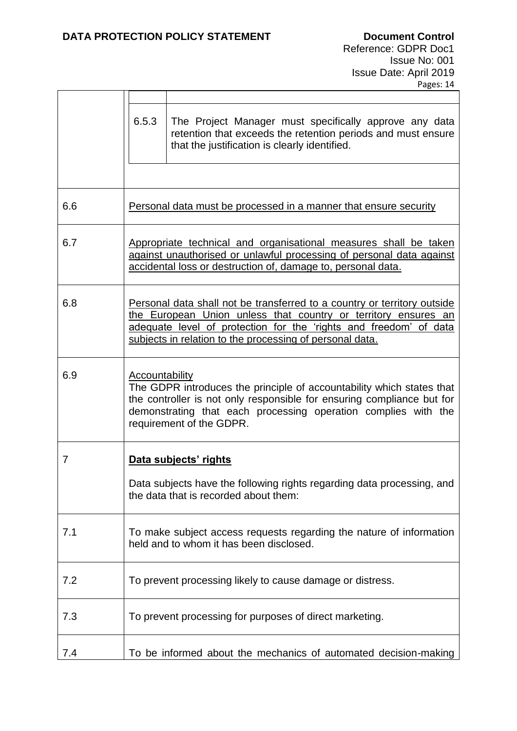|     | , ages, <del>1</del> 7                                                                                                                                                                                                                                                      |  |
|-----|-----------------------------------------------------------------------------------------------------------------------------------------------------------------------------------------------------------------------------------------------------------------------------|--|
|     | 6.5.3<br>The Project Manager must specifically approve any data<br>retention that exceeds the retention periods and must ensure<br>that the justification is clearly identified.                                                                                            |  |
| 6.6 | Personal data must be processed in a manner that ensure security                                                                                                                                                                                                            |  |
| 6.7 | Appropriate technical and organisational measures shall be taken<br>against unauthorised or unlawful processing of personal data against<br>accidental loss or destruction of, damage to, personal data.                                                                    |  |
| 6.8 | Personal data shall not be transferred to a country or territory outside<br>the European Union unless that country or territory ensures an<br>adequate level of protection for the 'rights and freedom' of data<br>subjects in relation to the processing of personal data. |  |
| 6.9 | Accountability<br>The GDPR introduces the principle of accountability which states that<br>the controller is not only responsible for ensuring compliance but for<br>demonstrating that each processing operation complies with the<br>requirement of the GDPR.             |  |
| 7   | Data subjects' rights<br>Data subjects have the following rights regarding data processing, and<br>the data that is recorded about them:                                                                                                                                    |  |
| 7.1 | To make subject access requests regarding the nature of information<br>held and to whom it has been disclosed.                                                                                                                                                              |  |
| 7.2 | To prevent processing likely to cause damage or distress.                                                                                                                                                                                                                   |  |
| 7.3 | To prevent processing for purposes of direct marketing.                                                                                                                                                                                                                     |  |
| 7.4 | To be informed about the mechanics of automated decision-making                                                                                                                                                                                                             |  |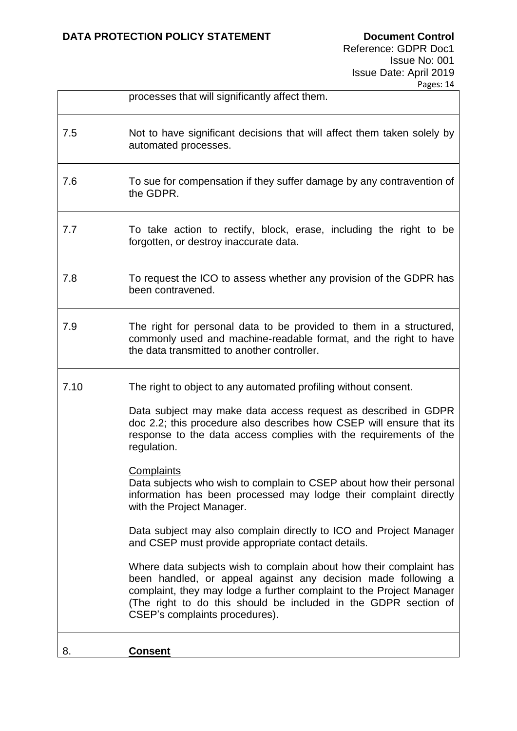|      | processes that will significantly affect them.                                                                                                                                                                                                                                                                                                                                                                                                                                                                                                                                                                                                                                                                                                                                                                                                                                                                                              |  |
|------|---------------------------------------------------------------------------------------------------------------------------------------------------------------------------------------------------------------------------------------------------------------------------------------------------------------------------------------------------------------------------------------------------------------------------------------------------------------------------------------------------------------------------------------------------------------------------------------------------------------------------------------------------------------------------------------------------------------------------------------------------------------------------------------------------------------------------------------------------------------------------------------------------------------------------------------------|--|
| 7.5  | Not to have significant decisions that will affect them taken solely by<br>automated processes.                                                                                                                                                                                                                                                                                                                                                                                                                                                                                                                                                                                                                                                                                                                                                                                                                                             |  |
| 7.6  | To sue for compensation if they suffer damage by any contravention of<br>the GDPR.                                                                                                                                                                                                                                                                                                                                                                                                                                                                                                                                                                                                                                                                                                                                                                                                                                                          |  |
| 7.7  | To take action to rectify, block, erase, including the right to be<br>forgotten, or destroy inaccurate data.                                                                                                                                                                                                                                                                                                                                                                                                                                                                                                                                                                                                                                                                                                                                                                                                                                |  |
| 7.8  | To request the ICO to assess whether any provision of the GDPR has<br>been contravened.                                                                                                                                                                                                                                                                                                                                                                                                                                                                                                                                                                                                                                                                                                                                                                                                                                                     |  |
| 7.9  | The right for personal data to be provided to them in a structured,<br>commonly used and machine-readable format, and the right to have<br>the data transmitted to another controller.                                                                                                                                                                                                                                                                                                                                                                                                                                                                                                                                                                                                                                                                                                                                                      |  |
| 7.10 | The right to object to any automated profiling without consent.<br>Data subject may make data access request as described in GDPR<br>doc 2.2; this procedure also describes how CSEP will ensure that its<br>response to the data access complies with the requirements of the<br>regulation.<br><b>Complaints</b><br>Data subjects who wish to complain to CSEP about how their personal<br>information has been processed may lodge their complaint directly<br>with the Project Manager.<br>Data subject may also complain directly to ICO and Project Manager<br>and CSEP must provide appropriate contact details.<br>Where data subjects wish to complain about how their complaint has<br>been handled, or appeal against any decision made following a<br>complaint, they may lodge a further complaint to the Project Manager<br>(The right to do this should be included in the GDPR section of<br>CSEP's complaints procedures). |  |
| 8.   | <b>Consent</b>                                                                                                                                                                                                                                                                                                                                                                                                                                                                                                                                                                                                                                                                                                                                                                                                                                                                                                                              |  |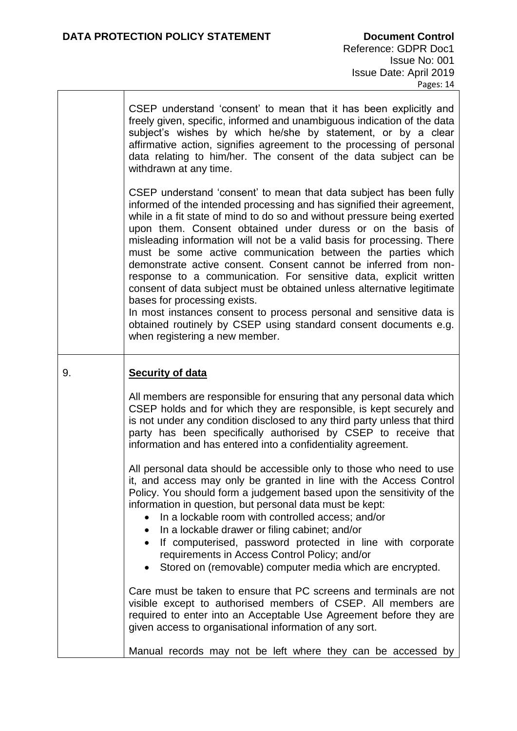CSEP understand 'consent' to mean that it has been explicitly and freely given, specific, informed and unambiguous indication of the data subject's wishes by which he/she by statement, or by a clear affirmative action, signifies agreement to the processing of personal data relating to him/her. The consent of the data subject can be withdrawn at any time.

CSEP understand 'consent' to mean that data subject has been fully informed of the intended processing and has signified their agreement, while in a fit state of mind to do so and without pressure being exerted upon them. Consent obtained under duress or on the basis of misleading information will not be a valid basis for processing. There must be some active communication between the parties which demonstrate active consent. Consent cannot be inferred from nonresponse to a communication. For sensitive data, explicit written consent of data subject must be obtained unless alternative legitimate bases for processing exists.

In most instances consent to process personal and sensitive data is obtained routinely by CSEP using standard consent documents e.g. when registering a new member.

## 9. **Security of data**

All members are responsible for ensuring that any personal data which CSEP holds and for which they are responsible, is kept securely and is not under any condition disclosed to any third party unless that third party has been specifically authorised by CSEP to receive that information and has entered into a confidentiality agreement.

All personal data should be accessible only to those who need to use it, and access may only be granted in line with the Access Control Policy. You should form a judgement based upon the sensitivity of the information in question, but personal data must be kept:

- In a lockable room with controlled access; and/or
- In a lockable drawer or filing cabinet; and/or
- If computerised, password protected in line with corporate requirements in Access Control Policy; and/or
- Stored on (removable) computer media which are encrypted.

Care must be taken to ensure that PC screens and terminals are not visible except to authorised members of CSEP. All members are required to enter into an Acceptable Use Agreement before they are given access to organisational information of any sort.

Manual records may not be left where they can be accessed by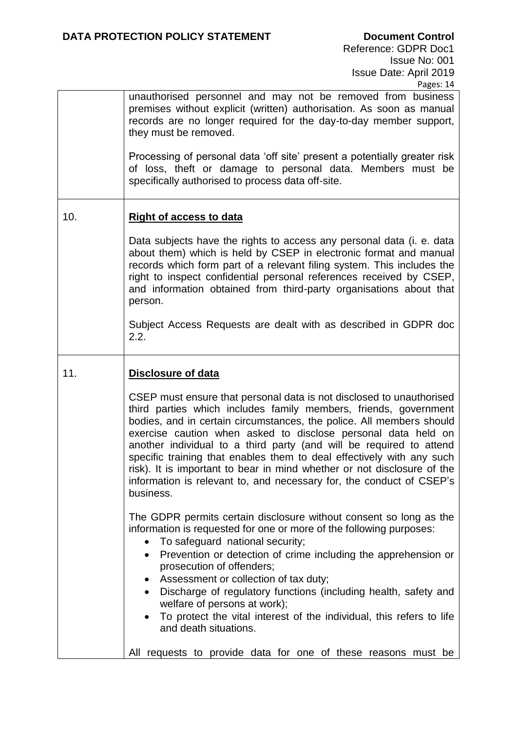unauthorised personnel and may not be removed from business premises without explicit (written) authorisation. As soon as manual records are no longer required for the day-to-day member support, they must be removed.

Processing of personal data 'off site' present a potentially greater risk of loss, theft or damage to personal data. Members must be specifically authorised to process data off-site.

## 10. **Right of access to data**

Data subjects have the rights to access any personal data (i. e. data about them) which is held by CSEP in electronic format and manual records which form part of a relevant filing system. This includes the right to inspect confidential personal references received by CSEP, and information obtained from third-party organisations about that person.

Subject Access Requests are dealt with as described in GDPR doc 2.2.

## 11. **Disclosure of data**

CSEP must ensure that personal data is not disclosed to unauthorised third parties which includes family members, friends, government bodies, and in certain circumstances, the police. All members should exercise caution when asked to disclose personal data held on another individual to a third party (and will be required to attend specific training that enables them to deal effectively with any such risk). It is important to bear in mind whether or not disclosure of the information is relevant to, and necessary for, the conduct of CSEP's business.

The GDPR permits certain disclosure without consent so long as the information is requested for one or more of the following purposes:

- To safeguard national security;
- Prevention or detection of crime including the apprehension or prosecution of offenders;
- Assessment or collection of tax duty;
- Discharge of regulatory functions (including health, safety and welfare of persons at work);
- To protect the vital interest of the individual, this refers to life and death situations.

All requests to provide data for one of these reasons must be